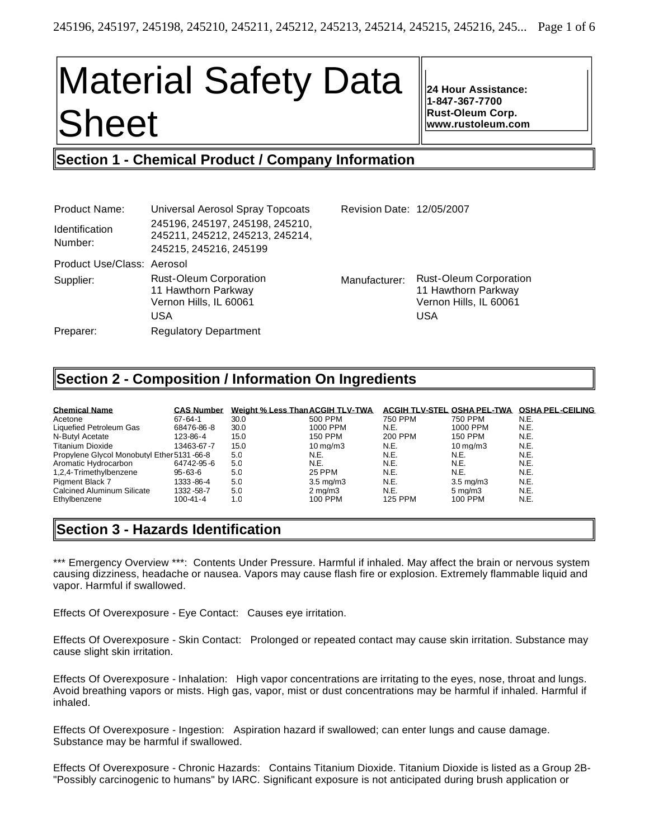# Material Safety Data Sheet

**24 Hour Assistance: 1-847-367-7700 Rust-Oleum Corp. www.rustoleum.com**

# **Section 1 - Chemical Product / Company Information**

| <b>Product Name:</b>             | Universal Aerosol Spray Topcoats                                                             | Revision Date: 12/05/2007 |                                                                                              |
|----------------------------------|----------------------------------------------------------------------------------------------|---------------------------|----------------------------------------------------------------------------------------------|
| <b>Identification</b><br>Number: | 245196, 245197, 245198, 245210,<br>245211, 245212, 245213, 245214,<br>245215, 245216, 245199 |                           |                                                                                              |
| Product Use/Class: Aerosol       |                                                                                              |                           |                                                                                              |
| Supplier:                        | <b>Rust-Oleum Corporation</b><br>11 Hawthorn Parkway<br>Vernon Hills, IL 60061<br>USA        | Manufacturer:             | <b>Rust-Oleum Corporation</b><br>11 Hawthorn Parkway<br>Vernon Hills, IL 60061<br><b>USA</b> |
| Preparer:                        | <b>Regulatory Department</b>                                                                 |                           |                                                                                              |

# **Section 2 - Composition / Information On Ingredients**

| <b>Chemical Name</b>                       | <b>CAS Number</b> | Weight % Less Than ACGIH TLV-TWA |                      | ACGIH TLV-STEL OSHA PEL-TWA |                      | <b>OSHA PEL-CEILING</b> |
|--------------------------------------------|-------------------|----------------------------------|----------------------|-----------------------------|----------------------|-------------------------|
| Acetone                                    | $67 - 64 - 1$     | 30.0                             | 500 PPM              | 750 PPM                     | 750 PPM              | N.E.                    |
| Liquefied Petroleum Gas                    | 68476-86-8        | 30.0                             | 1000 PPM             | N.E.                        | 1000 PPM             | N.E.                    |
| N-Butyl Acetate                            | 123-86-4          | 15.0                             | 150 PPM              | 200 PPM                     | <b>150 PPM</b>       | N.E.                    |
| <b>Titanium Dioxide</b>                    | 13463-67-7        | 15.0                             | $10 \,\mathrm{ma/m}$ | N.E.                        | $10 \text{ ma/m}$ 3  | N.E.                    |
| Propylene Glycol Monobutyl Ether 5131-66-8 |                   | 5.0                              | N.E.                 | N.E.                        | N.E.                 | N.E.                    |
| Aromatic Hydrocarbon                       | 64742-95-6        | 5.0                              | N.E.                 | N.E.                        | N.E.                 | N.E.                    |
| 1,2,4-Trimethylbenzene                     | $95 - 63 - 6$     | 5.0                              | 25 PPM               | N.E.                        | N.E.                 | N.E.                    |
| Pigment Black 7                            | 1333-86-4         | 5.0                              | $3.5 \text{ ma/m}$ 3 | N.E.                        | $3.5 \text{ ma/m}$ 3 | N.E.                    |
| <b>Calcined Aluminum Silicate</b>          | 1332 - 58 - 7     | 5.0                              | $2 \text{ ma/m}$ 3   | N.E.                        | $5 \text{ ma/m}$ 3   | N.E.                    |
| Ethylbenzene                               | $100 - 41 - 4$    | 1.0                              | 100 PPM              | <b>125 PPM</b>              | 100 PPM              | N.E.                    |

# **Section 3 - Hazards Identification**

\*\*\* Emergency Overview \*\*\*: Contents Under Pressure. Harmful if inhaled. May affect the brain or nervous system causing dizziness, headache or nausea. Vapors may cause flash fire or explosion. Extremely flammable liquid and vapor. Harmful if swallowed.

Effects Of Overexposure - Eye Contact: Causes eye irritation.

Effects Of Overexposure - Skin Contact: Prolonged or repeated contact may cause skin irritation. Substance may cause slight skin irritation.

Effects Of Overexposure - Inhalation: High vapor concentrations are irritating to the eyes, nose, throat and lungs. Avoid breathing vapors or mists. High gas, vapor, mist or dust concentrations may be harmful if inhaled. Harmful if inhaled.

Effects Of Overexposure - Ingestion: Aspiration hazard if swallowed; can enter lungs and cause damage. Substance may be harmful if swallowed.

Effects Of Overexposure - Chronic Hazards: Contains Titanium Dioxide. Titanium Dioxide is listed as a Group 2B- "Possibly carcinogenic to humans" by IARC. Significant exposure is not anticipated during brush application or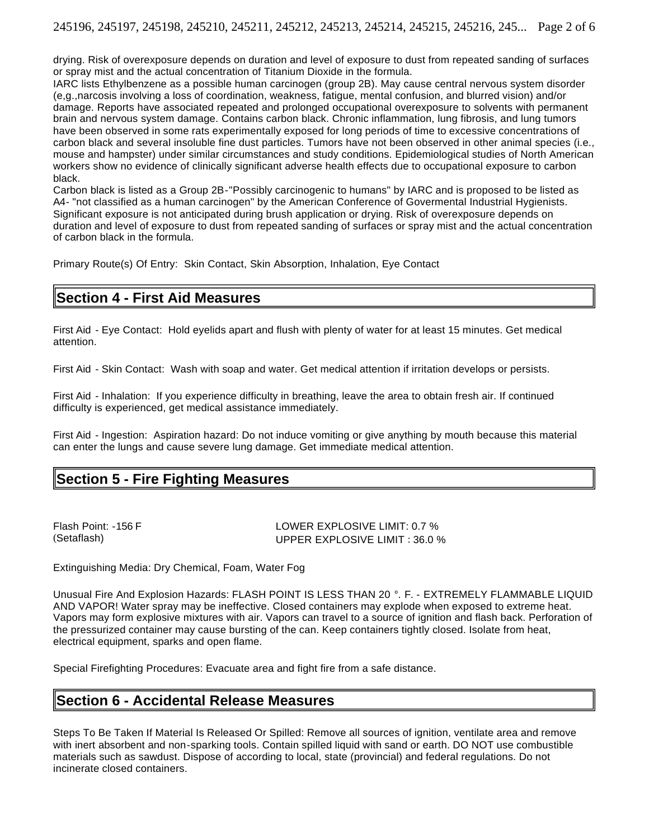drying. Risk of overexposure depends on duration and level of exposure to dust from repeated sanding of surfaces or spray mist and the actual concentration of Titanium Dioxide in the formula.

IARC lists Ethylbenzene as a possible human carcinogen (group 2B). May cause central nervous system disorder (e,g.,narcosis involving a loss of coordination, weakness, fatigue, mental confusion, and blurred vision) and/or damage. Reports have associated repeated and prolonged occupational overexposure to solvents with permanent brain and nervous system damage. Contains carbon black. Chronic inflammation, lung fibrosis, and lung tumors have been observed in some rats experimentally exposed for long periods of time to excessive concentrations of carbon black and several insoluble fine dust particles. Tumors have not been observed in other animal species (i.e., mouse and hampster) under similar circumstances and study conditions. Epidemiological studies of North American workers show no evidence of clinically significant adverse health effects due to occupational exposure to carbon black.

Carbon black is listed as a Group 2B-"Possibly carcinogenic to humans" by IARC and is proposed to be listed as A4- "not classified as a human carcinogen" by the American Conference of Govermental Industrial Hygienists. Significant exposure is not anticipated during brush application or drying. Risk of overexposure depends on duration and level of exposure to dust from repeated sanding of surfaces or spray mist and the actual concentration of carbon black in the formula.

Primary Route(s) Of Entry: Skin Contact, Skin Absorption, Inhalation, Eye Contact

## **Section 4 - First Aid Measures**

First Aid - Eye Contact: Hold eyelids apart and flush with plenty of water for at least 15 minutes. Get medical attention.

First Aid - Skin Contact: Wash with soap and water. Get medical attention if irritation develops or persists.

First Aid - Inhalation: If you experience difficulty in breathing, leave the area to obtain fresh air. If continued difficulty is experienced, get medical assistance immediately.

First Aid - Ingestion: Aspiration hazard: Do not induce vomiting or give anything by mouth because this material can enter the lungs and cause severe lung damage. Get immediate medical attention.

# **Section 5 - Fire Fighting Measures**

Flash Point: -156 F LOWER EXPLOSIVE LIMIT: 0.7 % (Setaflash) UPPER EXPLOSIVE LIMIT : 36.0 %

Extinguishing Media: Dry Chemical, Foam, Water Fog

Unusual Fire And Explosion Hazards: FLASH POINT IS LESS THAN 20 °. F. - EXTREMELY FLAMMABLE LIQUID AND VAPOR! Water spray may be ineffective. Closed containers may explode when exposed to extreme heat. Vapors may form explosive mixtures with air. Vapors can travel to a source of ignition and flash back. Perforation of the pressurized container may cause bursting of the can. Keep containers tightly closed. Isolate from heat, electrical equipment, sparks and open flame.

Special Firefighting Procedures: Evacuate area and fight fire from a safe distance.

# **Section 6 - Accidental Release Measures**

Steps To Be Taken If Material Is Released Or Spilled: Remove all sources of ignition, ventilate area and remove with inert absorbent and non-sparking tools. Contain spilled liquid with sand or earth. DO NOT use combustible materials such as sawdust. Dispose of according to local, state (provincial) and federal regulations. Do not incinerate closed containers.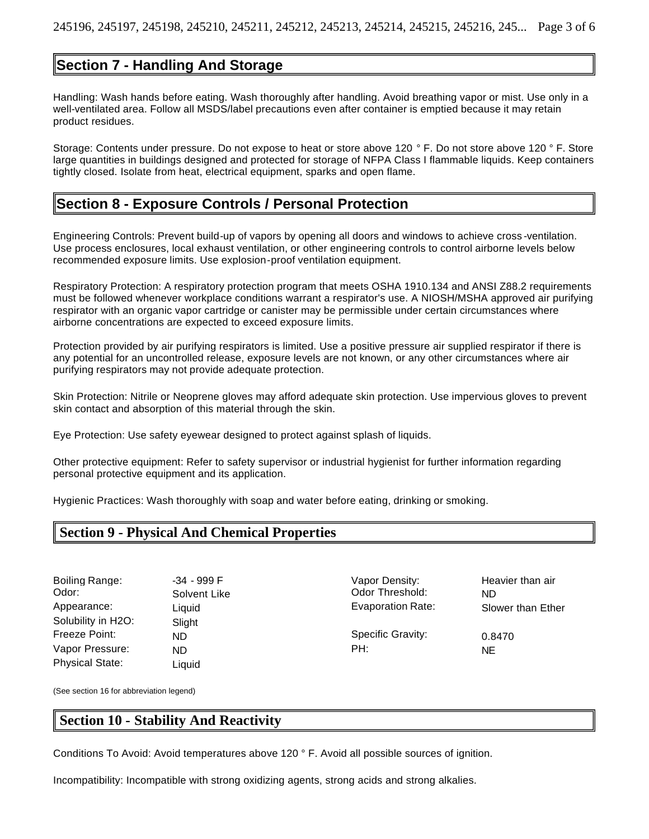# **Section 7 - Handling And Storage**

Handling: Wash hands before eating. Wash thoroughly after handling. Avoid breathing vapor or mist. Use only in a well-ventilated area. Follow all MSDS/label precautions even after container is emptied because it may retain product residues.

Storage: Contents under pressure. Do not expose to heat or store above 120 ° F. Do not store above 120 ° F. Store large quantities in buildings designed and protected for storage of NFPA Class I flammable liquids. Keep containers tightly closed. Isolate from heat, electrical equipment, sparks and open flame.

## **Section 8 - Exposure Controls / Personal Protection**

Engineering Controls: Prevent build-up of vapors by opening all doors and windows to achieve cross -ventilation. Use process enclosures, local exhaust ventilation, or other engineering controls to control airborne levels below recommended exposure limits. Use explosion-proof ventilation equipment.

Respiratory Protection: A respiratory protection program that meets OSHA 1910.134 and ANSI Z88.2 requirements must be followed whenever workplace conditions warrant a respirator's use. A NIOSH/MSHA approved air purifying respirator with an organic vapor cartridge or canister may be permissible under certain circumstances where airborne concentrations are expected to exceed exposure limits.

Protection provided by air purifying respirators is limited. Use a positive pressure air supplied respirator if there is any potential for an uncontrolled release, exposure levels are not known, or any other circumstances where air purifying respirators may not provide adequate protection.

Skin Protection: Nitrile or Neoprene gloves may afford adequate skin protection. Use impervious gloves to prevent skin contact and absorption of this material through the skin.

Eye Protection: Use safety eyewear designed to protect against splash of liquids.

Other protective equipment: Refer to safety supervisor or industrial hygienist for further information regarding personal protective equipment and its application.

Hygienic Practices: Wash thoroughly with soap and water before eating, drinking or smoking.

## **Section 9 - Physical And Chemical Properties**

Odor: Solvent Like Codor Threshold: ND Solubility in H2O: Slight Freeze Point: ND ND Specific Gravity: 0.8470 Vapor Pressure: ND NE NE PH: NE Physical State: Liquid

Boiling Range:  $-34 - 999$  F and  $\overline{a}$  Vapor Density: Heavier than air Appearance: Liquid Liquid Evaporation Rate: Slower than Ether

(See section 16 for abbreviation legend)

## **Section 10 - Stability And Reactivity**

Conditions To Avoid: Avoid temperatures above 120 ° F. Avoid all possible sources of ignition.

Incompatibility: Incompatible with strong oxidizing agents, strong acids and strong alkalies.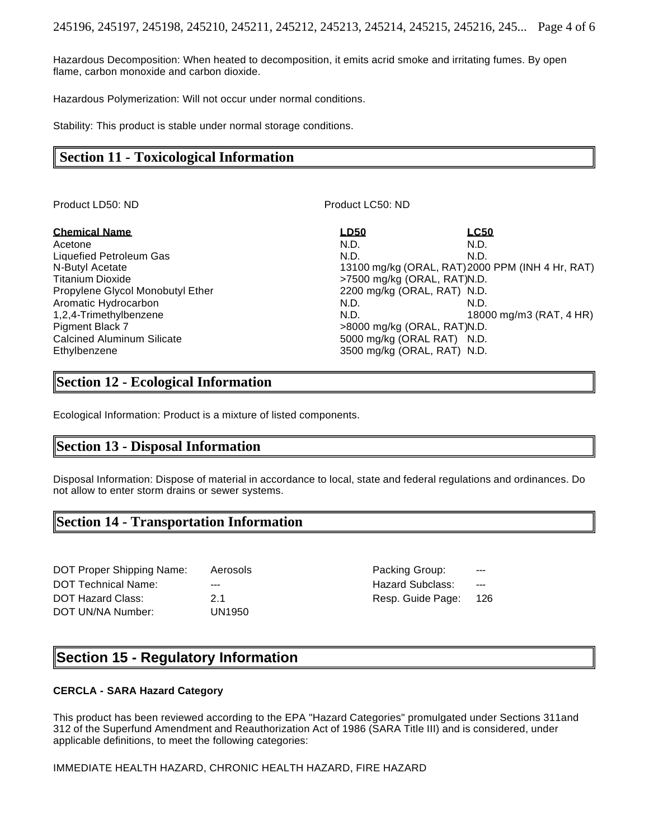Hazardous Decomposition: When heated to decomposition, it emits acrid smoke and irritating fumes. By open flame, carbon monoxide and carbon dioxide.

Hazardous Polymerization: Will not occur under normal conditions.

Stability: This product is stable under normal storage conditions.

## **Section 11 - Toxicological Information**

Product LD50: ND Product LC50: ND

Acetone N.D. N.D. Liquefied Petroleum Gas N.D. N.D. N.D. N.D. N.D. Titanium Dioxide **by Contract Contract Contract Contract Contract Contract Contract Contract Contract Contract Contract Contract Contract Contract Contract Contract Contract Contract Contract Contract Contract Contract Con** Propylene Glycol Monobutyl Ether 2200 mg/kg (ORAL, RAT) N.D. Aromatic Hydrocarbon N.D. N.D. N.D. N.D. N.D. Pigment Black 7 **but a set of the set of the set of the set of the set of the set of the set of the set of the set of the set of the set of the set of the set of the set of the set of the set of the set of the set of the s** Calcined Aluminum Silicate 6000 mg/kg (ORAL RAT) N.D. Ethylbenzene 3500 mg/kg (ORAL, RAT) N.D.

**Chemical Name LD50 LC50** N-Butyl Acetate 13100 mg/kg (ORAL, RAT)2000 PPM (INH 4 Hr, RAT) 1,2,4-Trimethylbenzene N.D. 18000 mg/m3 (RAT, 4 HR)

## **Section 12 - Ecological Information**

Ecological Information: Product is a mixture of listed components.

### **Section 13 - Disposal Information**

Disposal Information: Dispose of material in accordance to local, state and federal regulations and ordinances. Do not allow to enter storm drains or sewer systems.

# **Section 14 - Transportation Information**

DOT Proper Shipping Name: Aerosols entitled and the Packing Group: DOT Technical Name:  $\frac{1}{2}$  ---  $\frac{1}{2}$  ---  $\frac{1}{2}$  Hazard Subclass: DOT Hazard Class: 2.1 26 and 2.1 Resp. Guide Page: 126 DOT UN/NA Number: UN1950

# **Section 15 - Regulatory Information**

#### **CERCLA - SARA Hazard Category**

This product has been reviewed according to the EPA "Hazard Categories" promulgated under Sections 311and 312 of the Superfund Amendment and Reauthorization Act of 1986 (SARA Title III) and is considered, under applicable definitions, to meet the following categories:

IMMEDIATE HEALTH HAZARD, CHRONIC HEALTH HAZARD, FIRE HAZARD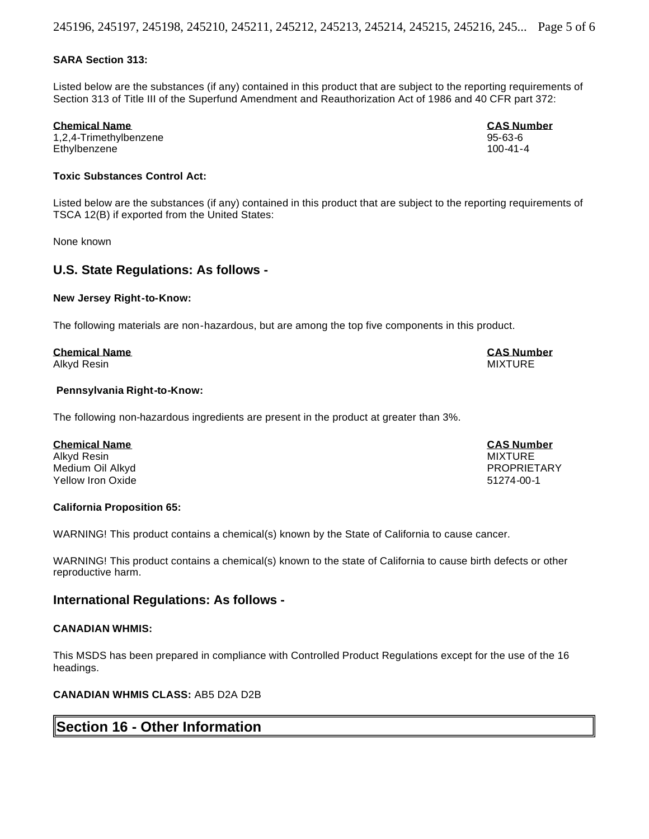#### **SARA Section 313:**

Listed below are the substances (if any) contained in this product that are subject to the reporting requirements of Section 313 of Title III of the Superfund Amendment and Reauthorization Act of 1986 and 40 CFR part 372:

#### **Chemical Name CAS Number**

1,2,4-Trimethylbenzene 95-63-6 Ethylbenzene

#### **Toxic Substances Control Act:**

Listed below are the substances (if any) contained in this product that are subject to the reporting requirements of TSCA 12(B) if exported from the United States:

None known

#### **U.S. State Regulations: As follows -**

#### **New Jersey Right-to-Know:**

The following materials are non-hazardous, but are among the top five components in this product.

#### **Chemical Name CAS Number**

Alkyd Resin MIXTURE

#### **Pennsylvania Right-to-Know:**

The following non-hazardous ingredients are present in the product at greater than 3%.

#### **Chemical Name CAS Number**

Alkyd Resin MIXTURE Medium Oil Alkyd PROPRIETARY Yellow Iron Oxide 51274-00-1

#### **California Proposition 65:**

WARNING! This product contains a chemical(s) known by the State of California to cause cancer.

WARNING! This product contains a chemical(s) known to the state of California to cause birth defects or other reproductive harm.

#### **International Regulations: As follows -**

#### **CANADIAN WHMIS:**

This MSDS has been prepared in compliance with Controlled Product Regulations except for the use of the 16 headings.

#### **CANADIAN WHMIS CLASS:** AB5 D2A D2B

## **Section 16 - Other Information**